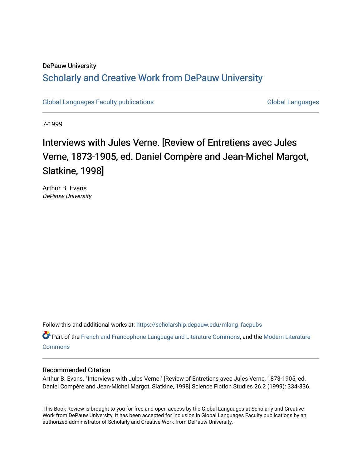### DePauw University Scholarly and [Creative Work from DePauw Univ](https://scholarship.depauw.edu/)ersity

[Global Languages Faculty publications](https://scholarship.depauw.edu/mlang_facpubs) [Global Languages](https://scholarship.depauw.edu/modernlanguages) Global Languages

7-1999

## Interviews with Jules Verne. [Review of Entretiens avec Jules Verne, 1873-1905, ed. Daniel Compère and Jean-Michel Margot, Slatkine, 1998]

Arthur B. Evans DePauw University

Follow this and additional works at: [https://scholarship.depauw.edu/mlang\\_facpubs](https://scholarship.depauw.edu/mlang_facpubs?utm_source=scholarship.depauw.edu%2Fmlang_facpubs%2F53&utm_medium=PDF&utm_campaign=PDFCoverPages)

Part of the [French and Francophone Language and Literature Commons,](https://network.bepress.com/hgg/discipline/463?utm_source=scholarship.depauw.edu%2Fmlang_facpubs%2F53&utm_medium=PDF&utm_campaign=PDFCoverPages) and the [Modern Literature](https://network.bepress.com/hgg/discipline/1050?utm_source=scholarship.depauw.edu%2Fmlang_facpubs%2F53&utm_medium=PDF&utm_campaign=PDFCoverPages) **[Commons](https://network.bepress.com/hgg/discipline/1050?utm_source=scholarship.depauw.edu%2Fmlang_facpubs%2F53&utm_medium=PDF&utm_campaign=PDFCoverPages)** 

#### Recommended Citation

Arthur B. Evans. "Interviews with Jules Verne." [Review of Entretiens avec Jules Verne, 1873-1905, ed. Daniel Compère and Jean-Michel Margot, Slatkine, 1998] Science Fiction Studies 26.2 (1999): 334-336.

This Book Review is brought to you for free and open access by the Global Languages at Scholarly and Creative Work from DePauw University. It has been accepted for inclusion in Global Languages Faculty publications by an authorized administrator of Scholarly and Creative Work from DePauw University.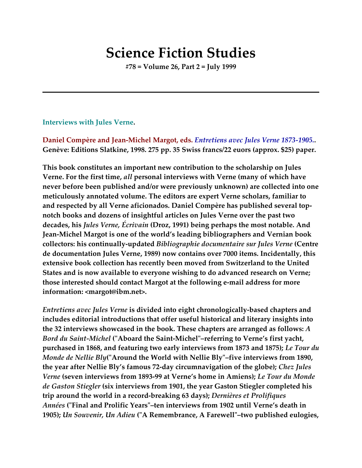# **Science Fiction Studies**

**#78 = Volume 26, Part 2 = July 1999**

#### **Interviews with Jules Verne.**

**Daniel Compère and Jean-Michel Margot, eds.** *Entretiens avec Jules Verne 1873-1905.***. Genève: Editions Slatkine, 1998. 275 pp. 35 Swiss francs/22 euors (approx. \$25) paper.**

**This book constitutes an important new contribution to the scholarship on Jules Verne. For the first time,** *all* **personal interviews with Verne (many of which have never before been published and/or were previously unknown) are collected into one meticulously annotated volume. The editors are expert Verne scholars, familiar to and respected by all Verne aficionados. Daniel Compère has published several topnotch books and dozens of insightful articles on Jules Verne over the past two decades, his** *Jules Verne, Écrivain* **(Droz, 1991) being perhaps the most notable. And Jean-Michel Margot is one of the world's leading bibliographers and Vernian book collectors: his continually-updated** *Bibliographie documentaire sur Jules Verne* **(Centre de documentation Jules Verne, 1989) now contains over 7000 items. Incidentally, this extensive book collection has recently been moved from Switzerland to the United States and is now available to everyone wishing to do advanced research on Verne; those interested should contact Margot at the following e-mail address for more information: <margot@ibm.net>.**

*Entretiens avec Jules Verne* **is divided into eight chronologically-based chapters and includes editorial introductions that offer useful historical and literary insights into the 32 interviews showcased in the book. These chapters are arranged as follows:** *A Bord du Saint-Michel* **("Aboard the Saint-Michel"–referring to Verne's first yacht, purchased in 1868, and featuring two early interviews from 1873 and 1875);** *Le Tour du Monde de Nellie Bly***("Around the World with Nellie Bly"–five interviews from 1890, the year after Nellie Bly's famous 72-day circumnavigation of the globe);** *Chez Jules Verne* **(seven interviews from 1893-99 at Verne's home in Amiens);** *Le Tour du Monde de Gaston Stiegler* **(six interviews from 1901, the year Gaston Stiegler completed his trip around the world in a record-breaking 63 days);** *Dernières et Prolifiques Années* **("Final and Prolific Years"–ten interviews from 1902 until Verne's death in 1905);** *Un Souvenir, Un Adieu* **("A Remembrance, A Farewell"–two published eulogies,**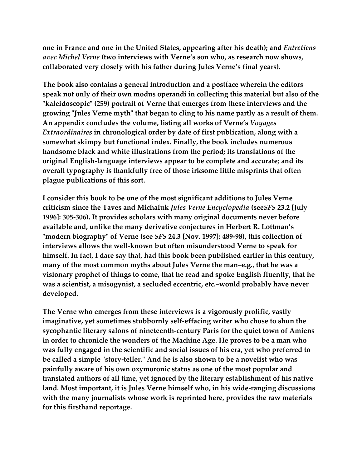**one in France and one in the United States, appearing after his death); and** *Entretiens avec Michel Verne* **(two interviews with Verne's son who, as research now shows, collaborated very closely with his father during Jules Verne's final years).**

**The book also contains a general introduction and a postface wherein the editors speak not only of their own modus operandi in collecting this material but also of the "kaleidoscopic" (259) portrait of Verne that emerges from these interviews and the growing "Jules Verne myth" that began to cling to his name partly as a result of them. An appendix concludes the volume, listing all works of Verne's** *Voyages Extraordinaires* **in chronological order by date of first publication, along with a somewhat skimpy but functional index. Finally, the book includes numerous handsome black and white illustrations from the period; its translations of the original English-language interviews appear to be complete and accurate; and its overall typography is thankfully free of those irksome little misprints that often plague publications of this sort.**

**I consider this book to be one of the most significant additions to Jules Verne criticism since the Taves and Michaluk** *Jules Verne Encyclopedia* **(see***SFS* **23.2 [July 1996]: 305-306). It provides scholars with many original documents never before available and, unlike the many derivative conjectures in Herbert R. Lottman's "modern biography" of Verne (see** *SFS* **24.3 [Nov. 1997]: 489-98), this collection of interviews allows the well-known but often misunderstood Verne to speak for himself. In fact, I dare say that, had this book been published earlier in this century, many of the most common myths about Jules Verne the man–e.g., that he was a visionary prophet of things to come, that he read and spoke English fluently, that he was a scientist, a misogynist, a secluded eccentric, etc.–would probably have never developed.**

**The Verne who emerges from these interviews is a vigorously prolific, vastly imaginative, yet sometimes stubbornly self-effacing writer who chose to shun the sycophantic literary salons of nineteenth-century Paris for the quiet town of Amiens in order to chronicle the wonders of the Machine Age. He proves to be a man who was fully engaged in the scientific and social issues of his era, yet who preferred to be called a simple "story-teller." And he is also shown to be a novelist who was painfully aware of his own oxymoronic status as one of the most popular and translated authors of all time, yet ignored by the literary establishment of his native land. Most important, it is Jules Verne himself who, in his wide-ranging discussions with the many journalists whose work is reprinted here, provides the raw materials for this firsthand reportage.**